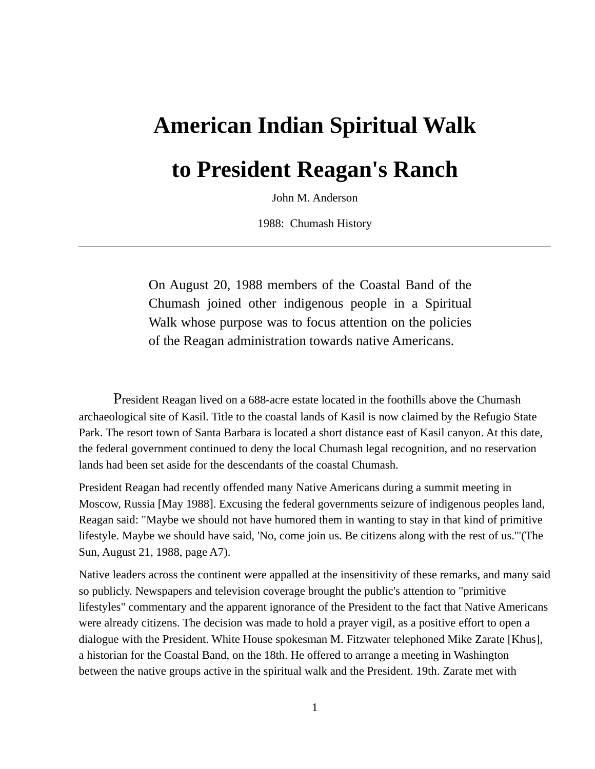## **American Indian Spiritual Walk**

## **to President Reagan's Ranch**

John M. Anderson

1988: Chumash History

On August 20, 1988 members of the Coastal Band of the Chumash joined other indigenous people in a Spiritual Walk whose purpose was to focus attention on the policies of the Reagan administration towards native Americans.

President Reagan lived on a 688-acre estate located in the foothills above the Chumash archaeological site of Kasil. Title to the coastal lands of Kasil is now claimed by the Refugio State Park. The resort town of Santa Barbara is located a short distance east of Kasil canyon. At this date, the federal government continued to deny the local Chumash legal recognition, and no reservation lands had been set aside for the descendants of the coastal Chumash.

President Reagan had recently offended many Native Americans during a summit meeting in Moscow, Russia [May 1988]. Excusing the federal governments seizure of indigenous peoples land, Reagan said: "Maybe we should not have humored them in wanting to stay in that kind of primitive lifestyle. Maybe we should have said, 'No, come join us. Be citizens along with the rest of us.'"(The Sun, August 21, 1988, page A7).

Native leaders across the continent were appalled at the insensitivity of these remarks, and many said so publicly. Newspapers and television coverage brought the public's attention to "primitive lifestyles" commentary and the apparent ignorance of the President to the fact that Native Americans were already citizens. The decision was made to hold a prayer vigil, as a positive effort to open a dialogue with the President. White House spokesman M. Fitzwater telephoned Mike Zarate [Khus], a historian for the Coastal Band, on the 18th. He offered to arrange a meeting in Washington between the native groups active in the spiritual walk and the President. 19th. Zarate met with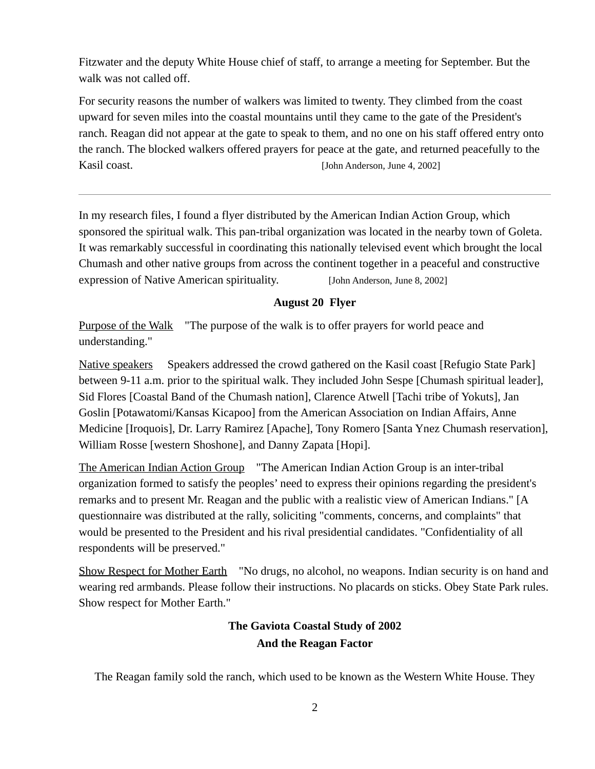Fitzwater and the deputy White House chief of staff, to arrange a meeting for September. But the walk was not called off.

For security reasons the number of walkers was limited to twenty. They climbed from the coast upward for seven miles into the coastal mountains until they came to the gate of the President's ranch. Reagan did not appear at the gate to speak to them, and no one on his staff offered entry onto the ranch. The blocked walkers offered prayers for peace at the gate, and returned peacefully to the Kasil coast. **[John Anderson, June 4, 2002]** 

In my research files, I found a flyer distributed by the American Indian Action Group, which sponsored the spiritual walk. This pan-tribal organization was located in the nearby town of Goleta. It was remarkably successful in coordinating this nationally televised event which brought the local Chumash and other native groups from across the continent together in a peaceful and constructive expression of Native American spirituality. [John Anderson, June 8, 2002]

## **August 20 Flyer**

Purpose of the Walk The purpose of the walk is to offer prayers for world peace and understanding."

Native speakers Speakers addressed the crowd gathered on the Kasil coast [Refugio State Park] between 9-11 a.m. prior to the spiritual walk. They included John Sespe [Chumash spiritual leader], Sid Flores [Coastal Band of the Chumash nation], Clarence Atwell [Tachi tribe of Yokuts], Jan Goslin [Potawatomi/Kansas Kicapoo] from the American Association on Indian Affairs, Anne Medicine [Iroquois], Dr. Larry Ramirez [Apache], Tony Romero [Santa Ynez Chumash reservation], William Rosse [western Shoshone], and Danny Zapata [Hopi].

The American Indian Action Group "The American Indian Action Group is an inter-tribal organization formed to satisfy the peoples' need to express their opinions regarding the president's remarks and to present Mr. Reagan and the public with a realistic view of American Indians." [A questionnaire was distributed at the rally, soliciting "comments, concerns, and complaints" that would be presented to the President and his rival presidential candidates. "Confidentiality of all respondents will be preserved."

Show Respect for Mother Earth "No drugs, no alcohol, no weapons. Indian security is on hand and wearing red armbands. Please follow their instructions. No placards on sticks. Obey State Park rules. Show respect for Mother Earth."

## **The Gaviota Coastal Study of 2002 And the Reagan Factor**

The Reagan family sold the ranch, which used to be known as the Western White House. They